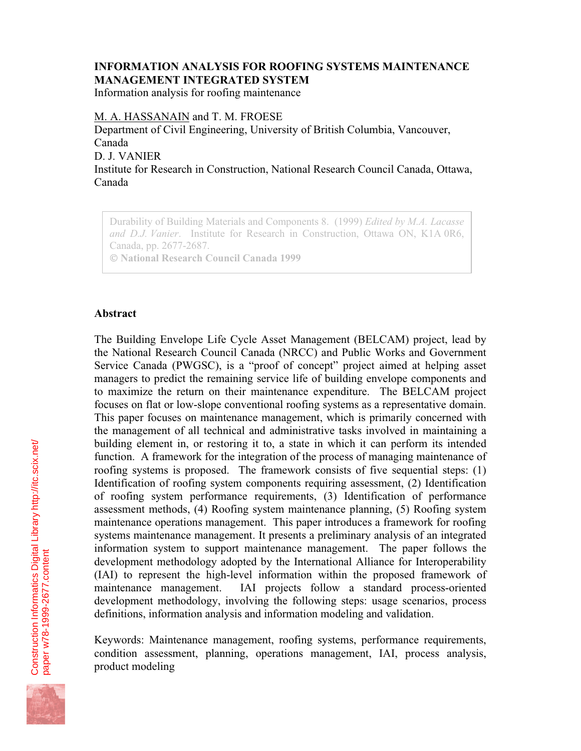## **INFORMATION ANALYSIS FOR ROOFING SYSTEMS MAINTENANCE MANAGEMENT INTEGRATED SYSTEM**

Information analysis for roofing maintenance

M. A. HASSANAIN and T. M. FROESE

Department of Civil Engineering, University of British Columbia, Vancouver, Canada D. J. VANIER Institute for Research in Construction, National Research Council Canada, Ottawa, Canada

Durability of Building Materials and Components 8. (1999) *Edited by M.A. Lacasse and D.J. Vanier*. Institute for Research in Construction, Ottawa ON, K1A 0R6, Canada, pp. 2677-2687.  **National Research Council Canada 1999**

#### **Abstract**

The Building Envelope Life Cycle Asset Management (BELCAM) project, lead by the National Research Council Canada (NRCC) and Public Works and Government Service Canada (PWGSC), is a "proof of concept" project aimed at helping asset managers to predict the remaining service life of building envelope components and to maximize the return on their maintenance expenditure. The BELCAM project focuses on flat or low-slope conventional roofing systems as a representative domain. This paper focuses on maintenance management, which is primarily concerned with the management of all technical and administrative tasks involved in maintaining a building element in, or restoring it to, a state in which it can perform its intended function. A framework for the integration of the process of managing maintenance of roofing systems is proposed. The framework consists of five sequential steps: (1) Identification of roofing system components requiring assessment, (2) Identification of roofing system performance requirements, (3) Identification of performance assessment methods, (4) Roofing system maintenance planning, (5) Roofing system maintenance operations management. This paper introduces a framework for roofing systems maintenance management. It presents a preliminary analysis of an integrated information system to support maintenance management. The paper follows the development methodology adopted by the International Alliance for Interoperability (IAI) to represent the high-level information within the proposed framework of maintenance management. IAI projects follow a standard process-oriented development methodology, involving the following steps: usage scenarios, process definitions, information analysis and information modeling and validation.

Keywords: Maintenance management, roofing systems, performance requirements, condition assessment, planning, operations management, IAI, process analysis, product modeling

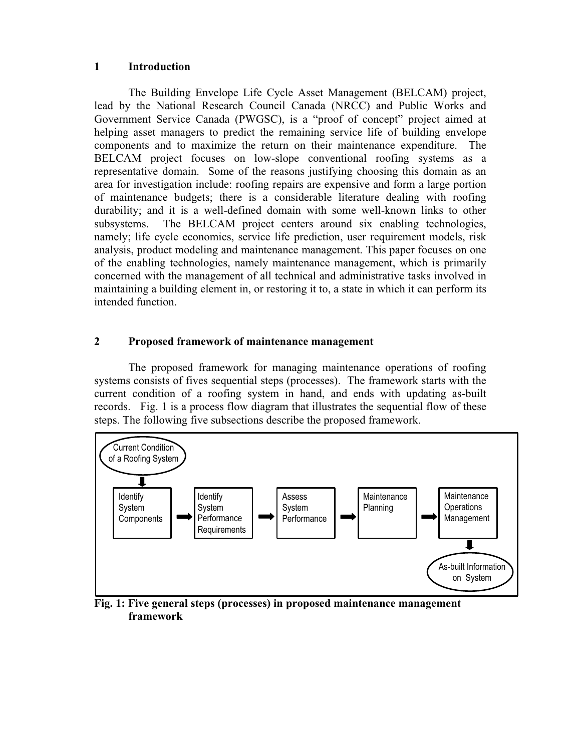#### **1 Introduction**

The Building Envelope Life Cycle Asset Management (BELCAM) project, lead by the National Research Council Canada (NRCC) and Public Works and Government Service Canada (PWGSC), is a "proof of concept" project aimed at helping asset managers to predict the remaining service life of building envelope components and to maximize the return on their maintenance expenditure. The BELCAM project focuses on low-slope conventional roofing systems as a representative domain. Some of the reasons justifying choosing this domain as an area for investigation include: roofing repairs are expensive and form a large portion of maintenance budgets; there is a considerable literature dealing with roofing durability; and it is a well-defined domain with some well-known links to other subsystems. The BELCAM project centers around six enabling technologies, namely; life cycle economics, service life prediction, user requirement models, risk analysis, product modeling and maintenance management. This paper focuses on one of the enabling technologies, namely maintenance management, which is primarily concerned with the management of all technical and administrative tasks involved in maintaining a building element in, or restoring it to, a state in which it can perform its intended function.

### **2 Proposed framework of maintenance management**

The proposed framework for managing maintenance operations of roofing systems consists of fives sequential steps (processes). The framework starts with the current condition of a roofing system in hand, and ends with updating as-built records. Fig. 1 is a process flow diagram that illustrates the sequential flow of these steps. The following five subsections describe the proposed framework.



**Fig. 1: Five general steps (processes) in proposed maintenance management framework**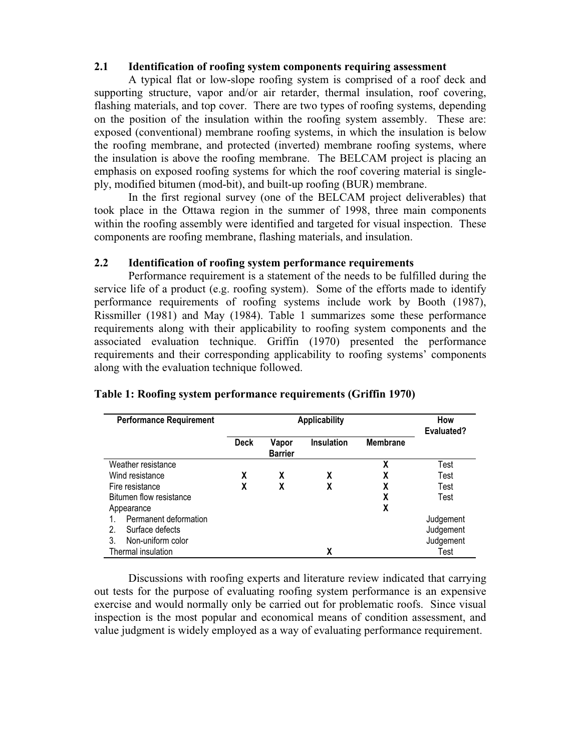### **2.1 Identification of roofing system components requiring assessment**

A typical flat or low-slope roofing system is comprised of a roof deck and supporting structure, vapor and/or air retarder, thermal insulation, roof covering, flashing materials, and top cover. There are two types of roofing systems, depending on the position of the insulation within the roofing system assembly. These are: exposed (conventional) membrane roofing systems, in which the insulation is below the roofing membrane, and protected (inverted) membrane roofing systems, where the insulation is above the roofing membrane. The BELCAM project is placing an emphasis on exposed roofing systems for which the roof covering material is singleply, modified bitumen (mod-bit), and built-up roofing (BUR) membrane.

In the first regional survey (one of the BELCAM project deliverables) that took place in the Ottawa region in the summer of 1998, three main components within the roofing assembly were identified and targeted for visual inspection. These components are roofing membrane, flashing materials, and insulation.

#### **2.2 Identification of roofing system performance requirements**

Performance requirement is a statement of the needs to be fulfilled during the service life of a product (e.g. roofing system). Some of the efforts made to identify performance requirements of roofing systems include work by Booth (1987), Rissmiller (1981) and May (1984). Table 1 summarizes some these performance requirements along with their applicability to roofing system components and the associated evaluation technique. Griffin (1970) presented the performance requirements and their corresponding applicability to roofing systems' components along with the evaluation technique followed.

| <b>Performance Requirement</b> | <b>Applicability</b> |                         |                   |                 | How<br><b>Evaluated?</b> |
|--------------------------------|----------------------|-------------------------|-------------------|-----------------|--------------------------|
|                                | Deck                 | Vapor<br><b>Barrier</b> | <b>Insulation</b> | <b>Membrane</b> |                          |
| Weather resistance             |                      |                         |                   | χ               | Test                     |
| Wind resistance                | x                    | X                       | χ                 | χ               | Test                     |
| Fire resistance                | χ                    | x                       | χ                 | χ               | Test                     |
| Bitumen flow resistance        |                      |                         |                   | χ               | Test                     |
| Appearance                     |                      |                         |                   | χ               |                          |
| Permanent deformation          |                      |                         |                   |                 | Judgement                |
| Surface defects<br>2.          |                      |                         |                   |                 | Judgement                |
| Non-uniform color<br>3         |                      |                         |                   |                 | Judgement                |
| Thermal insulation             |                      |                         | χ                 |                 | Test                     |

### **Table 1: Roofing system performance requirements (Griffin 1970)**

Discussions with roofing experts and literature review indicated that carrying out tests for the purpose of evaluating roofing system performance is an expensive exercise and would normally only be carried out for problematic roofs. Since visual inspection is the most popular and economical means of condition assessment, and value judgment is widely employed as a way of evaluating performance requirement.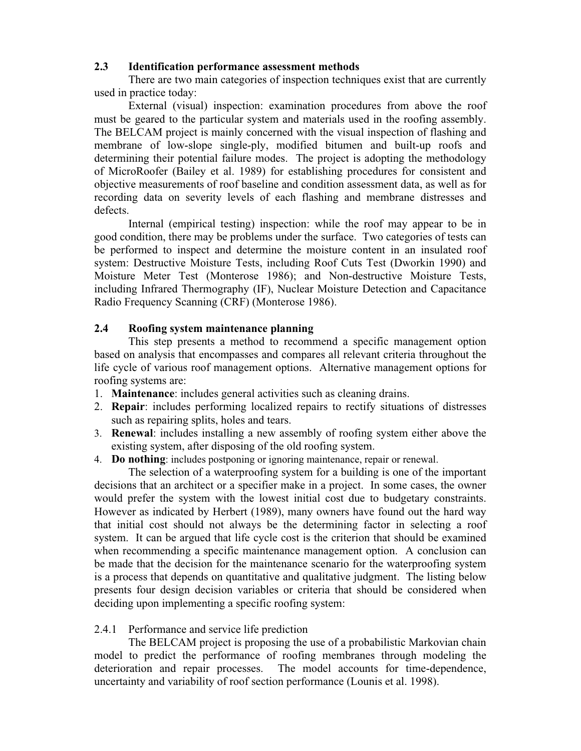### **2.3 Identification performance assessment methods**

There are two main categories of inspection techniques exist that are currently used in practice today:

External (visual) inspection: examination procedures from above the roof must be geared to the particular system and materials used in the roofing assembly. The BELCAM project is mainly concerned with the visual inspection of flashing and membrane of low-slope single-ply, modified bitumen and built-up roofs and determining their potential failure modes. The project is adopting the methodology of MicroRoofer (Bailey et al. 1989) for establishing procedures for consistent and objective measurements of roof baseline and condition assessment data, as well as for recording data on severity levels of each flashing and membrane distresses and defects.

Internal (empirical testing) inspection: while the roof may appear to be in good condition, there may be problems under the surface. Two categories of tests can be performed to inspect and determine the moisture content in an insulated roof system: Destructive Moisture Tests, including Roof Cuts Test (Dworkin 1990) and Moisture Meter Test (Monterose 1986); and Non-destructive Moisture Tests, including Infrared Thermography (IF), Nuclear Moisture Detection and Capacitance Radio Frequency Scanning (CRF) (Monterose 1986).

### **2.4 Roofing system maintenance planning**

This step presents a method to recommend a specific management option based on analysis that encompasses and compares all relevant criteria throughout the life cycle of various roof management options. Alternative management options for roofing systems are:

- 1. **Maintenance**: includes general activities such as cleaning drains.
- 2. **Repair**: includes performing localized repairs to rectify situations of distresses such as repairing splits, holes and tears.
- 3. **Renewal**: includes installing a new assembly of roofing system either above the existing system, after disposing of the old roofing system.
- 4. **Do nothing**: includes postponing or ignoring maintenance, repair or renewal.

The selection of a waterproofing system for a building is one of the important decisions that an architect or a specifier make in a project. In some cases, the owner would prefer the system with the lowest initial cost due to budgetary constraints. However as indicated by Herbert (1989), many owners have found out the hard way that initial cost should not always be the determining factor in selecting a roof system. It can be argued that life cycle cost is the criterion that should be examined when recommending a specific maintenance management option. A conclusion can be made that the decision for the maintenance scenario for the waterproofing system is a process that depends on quantitative and qualitative judgment. The listing below presents four design decision variables or criteria that should be considered when deciding upon implementing a specific roofing system:

## 2.4.1 Performance and service life prediction

The BELCAM project is proposing the use of a probabilistic Markovian chain model to predict the performance of roofing membranes through modeling the deterioration and repair processes. The model accounts for time-dependence, uncertainty and variability of roof section performance (Lounis et al. 1998).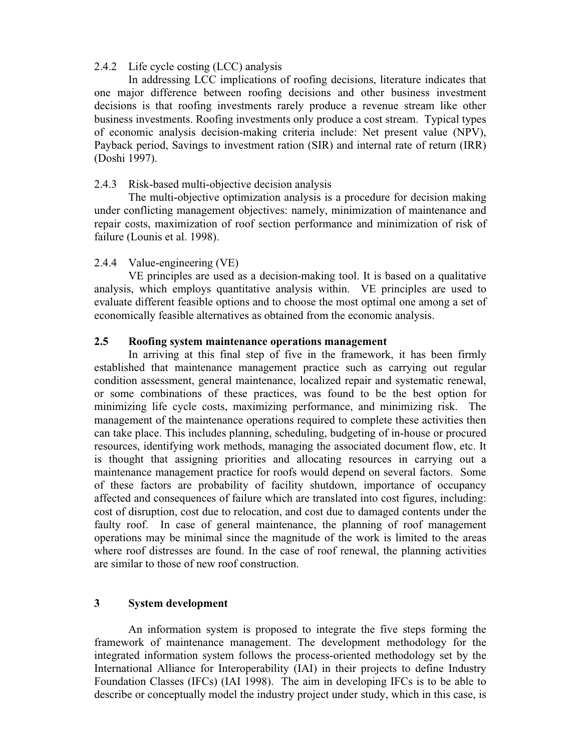#### 2.4.2 Life cycle costing (LCC) analysis

In addressing LCC implications of roofing decisions, literature indicates that one major difference between roofing decisions and other business investment decisions is that roofing investments rarely produce a revenue stream like other business investments. Roofing investments only produce a cost stream. Typical types of economic analysis decision-making criteria include: Net present value (NPV), Payback period, Savings to investment ration (SIR) and internal rate of return (IRR) (Doshi 1997).

### 2.4.3 Risk-based multi-objective decision analysis

The multi-objective optimization analysis is a procedure for decision making under conflicting management objectives: namely, minimization of maintenance and repair costs, maximization of roof section performance and minimization of risk of failure (Lounis et al. 1998).

### 2.4.4 Value-engineering (VE)

VE principles are used as a decision-making tool. It is based on a qualitative analysis, which employs quantitative analysis within. VE principles are used to evaluate different feasible options and to choose the most optimal one among a set of economically feasible alternatives as obtained from the economic analysis.

### **2.5 Roofing system maintenance operations management**

In arriving at this final step of five in the framework, it has been firmly established that maintenance management practice such as carrying out regular condition assessment, general maintenance, localized repair and systematic renewal, or some combinations of these practices, was found to be the best option for minimizing life cycle costs, maximizing performance, and minimizing risk. The management of the maintenance operations required to complete these activities then can take place. This includes planning, scheduling, budgeting of in-house or procured resources, identifying work methods, managing the associated document flow, etc. It is thought that assigning priorities and allocating resources in carrying out a maintenance management practice for roofs would depend on several factors. Some of these factors are probability of facility shutdown, importance of occupancy affected and consequences of failure which are translated into cost figures, including: cost of disruption, cost due to relocation, and cost due to damaged contents under the faulty roof. In case of general maintenance, the planning of roof management operations may be minimal since the magnitude of the work is limited to the areas where roof distresses are found. In the case of roof renewal, the planning activities are similar to those of new roof construction.

### **3 System development**

An information system is proposed to integrate the five steps forming the framework of maintenance management. The development methodology for the integrated information system follows the process-oriented methodology set by the International Alliance for Interoperability (IAI) in their projects to define Industry Foundation Classes (IFCs) (IAI 1998). The aim in developing IFCs is to be able to describe or conceptually model the industry project under study, which in this case, is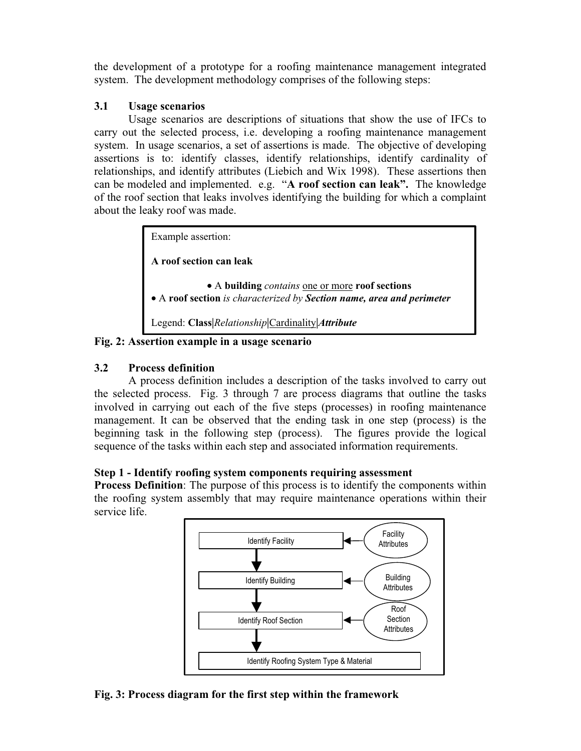the development of a prototype for a roofing maintenance management integrated system. The development methodology comprises of the following steps:

### **3.1 Usage scenarios**

Usage scenarios are descriptions of situations that show the use of IFCs to carry out the selected process, i.e. developing a roofing maintenance management system. In usage scenarios, a set of assertions is made. The objective of developing assertions is to: identify classes, identify relationships, identify cardinality of relationships, and identify attributes (Liebich and Wix 1998). These assertions then can be modeled and implemented. e.g. "**A roof section can leak".** The knowledge of the roof section that leaks involves identifying the building for which a complaint about the leaky roof was made.

> Example assertion: **A roof section can leak** • A **building** *contains* one or more **roof sections** • A **roof section** *is characterized by Section name, area and perimeter* Legend: **Class|***Relationship***|**Cardinality**|***Attribute*

**Fig. 2: Assertion example in a usage scenario**

# **3.2 Process definition**

A process definition includes a description of the tasks involved to carry out the selected process. Fig. 3 through 7 are process diagrams that outline the tasks involved in carrying out each of the five steps (processes) in roofing maintenance management. It can be observed that the ending task in one step (process) is the beginning task in the following step (process). The figures provide the logical sequence of the tasks within each step and associated information requirements.

# **Step 1 - Identify roofing system components requiring assessment**

**Process Definition**: The purpose of this process is to identify the components within the roofing system assembly that may require maintenance operations within their service life.



**Fig. 3: Process diagram for the first step within the framework**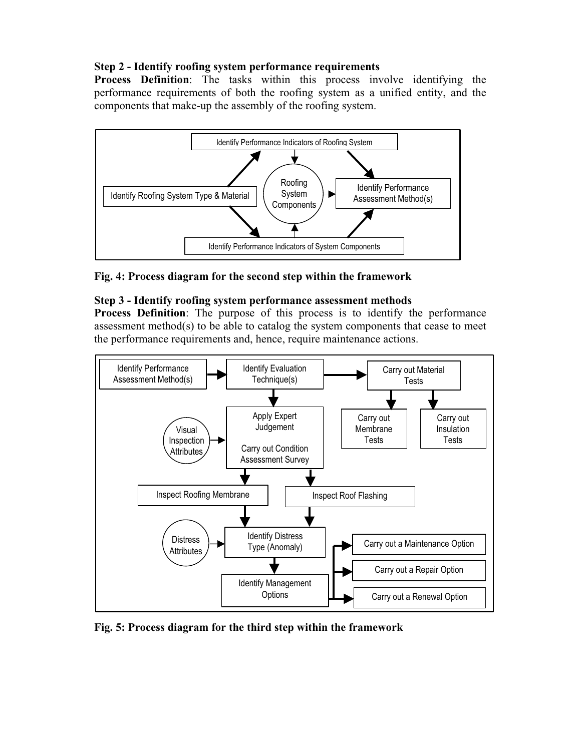### **Step 2 - Identify roofing system performance requirements**

**Process Definition**: The tasks within this process involve identifying the performance requirements of both the roofing system as a unified entity, and the components that make-up the assembly of the roofing system.



**Fig. 4: Process diagram for the second step within the framework**

### **Step 3 - Identify roofing system performance assessment methods**

**Process Definition**: The purpose of this process is to identify the performance assessment method(s) to be able to catalog the system components that cease to meet the performance requirements and, hence, require maintenance actions.



**Fig. 5: Process diagram for the third step within the framework**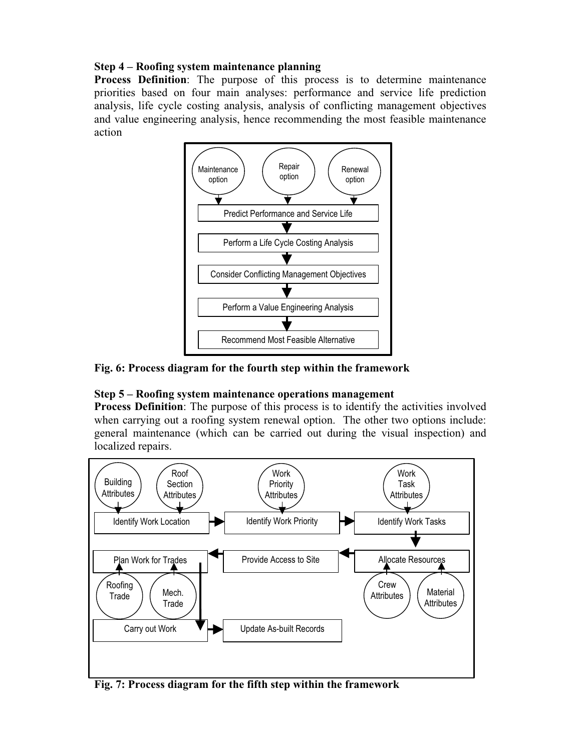### **Step 4 – Roofing system maintenance planning**

**Process Definition**: The purpose of this process is to determine maintenance priorities based on four main analyses: performance and service life prediction analysis, life cycle costing analysis, analysis of conflicting management objectives and value engineering analysis, hence recommending the most feasible maintenance action



### **Fig. 6: Process diagram for the fourth step within the framework**

## **Step 5 – Roofing system maintenance operations management**

**Process Definition**: The purpose of this process is to identify the activities involved when carrying out a roofing system renewal option. The other two options include: general maintenance (which can be carried out during the visual inspection) and localized repairs.



**Fig. 7: Process diagram for the fifth step within the framework**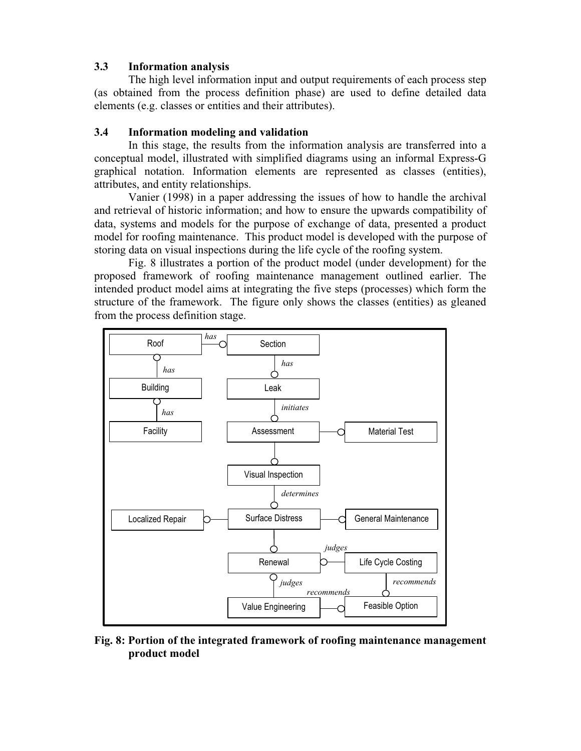### **3.3 Information analysis**

The high level information input and output requirements of each process step (as obtained from the process definition phase) are used to define detailed data elements (e.g. classes or entities and their attributes).

### **3.4 Information modeling and validation**

In this stage, the results from the information analysis are transferred into a conceptual model, illustrated with simplified diagrams using an informal Express-G graphical notation. Information elements are represented as classes (entities), attributes, and entity relationships.

Vanier (1998) in a paper addressing the issues of how to handle the archival and retrieval of historic information; and how to ensure the upwards compatibility of data, systems and models for the purpose of exchange of data, presented a product model for roofing maintenance. This product model is developed with the purpose of storing data on visual inspections during the life cycle of the roofing system.

Fig. 8 illustrates a portion of the product model (under development) for the proposed framework of roofing maintenance management outlined earlier. The intended product model aims at integrating the five steps (processes) which form the structure of the framework. The figure only shows the classes (entities) as gleaned from the process definition stage.



**Fig. 8: Portion of the integrated framework of roofing maintenance management product model**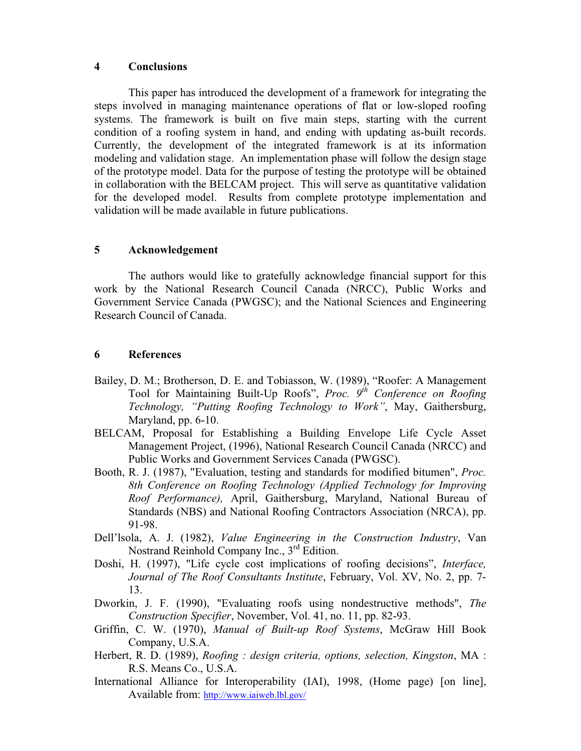#### **4 Conclusions**

This paper has introduced the development of a framework for integrating the steps involved in managing maintenance operations of flat or low-sloped roofing systems. The framework is built on five main steps, starting with the current condition of a roofing system in hand, and ending with updating as-built records. Currently, the development of the integrated framework is at its information modeling and validation stage. An implementation phase will follow the design stage of the prototype model. Data for the purpose of testing the prototype will be obtained in collaboration with the BELCAM project. This will serve as quantitative validation for the developed model. Results from complete prototype implementation and validation will be made available in future publications.

#### **5 Acknowledgement**

The authors would like to gratefully acknowledge financial support for this work by the National Research Council Canada (NRCC), Public Works and Government Service Canada (PWGSC); and the National Sciences and Engineering Research Council of Canada.

### **6 References**

- Bailey, D. M.; Brotherson, D. E. and Tobiasson, W. (1989), "Roofer: A Management Tool for Maintaining Built-Up Roofs", *Proc. 9th Conference on Roofing Technology, "Putting Roofing Technology to Work"*, May, Gaithersburg, Maryland, pp. 6-10.
- BELCAM, Proposal for Establishing a Building Envelope Life Cycle Asset Management Project, (1996), National Research Council Canada (NRCC) and Public Works and Government Services Canada (PWGSC).
- Booth, R. J. (1987), "Evaluation, testing and standards for modified bitumen", *Proc. 8th Conference on Roofing Technology (Applied Technology for Improving Roof Performance),* April, Gaithersburg, Maryland, National Bureau of Standards (NBS) and National Roofing Contractors Association (NRCA), pp. 91-98.
- Dell'lsola, A. J. (1982), *Value Engineering in the Construction Industry*, Van Nostrand Reinhold Company Inc., 3<sup>rd</sup> Edition.
- Doshi, H. (1997), "Life cycle cost implications of roofing decisions", *Interface, Journal of The Roof Consultants Institute*, February, Vol. XV, No. 2, pp. 7- 13.
- Dworkin, J. F. (1990), "Evaluating roofs using nondestructive methods", *The Construction Specifier*, November, Vol. 41, no. 11, pp. 82-93.
- Griffin, C. W. (1970), *Manual of Built-up Roof Systems*, McGraw Hill Book Company, U.S.A.
- Herbert, R. D. (1989), *Roofing : design criteria, options, selection, Kingston*, MA : R.S. Means Co., U.S.A.
- International Alliance for Interoperability (IAI), 1998, (Home page) [on line], Available from: http://www.iaiweb.lbl.gov/